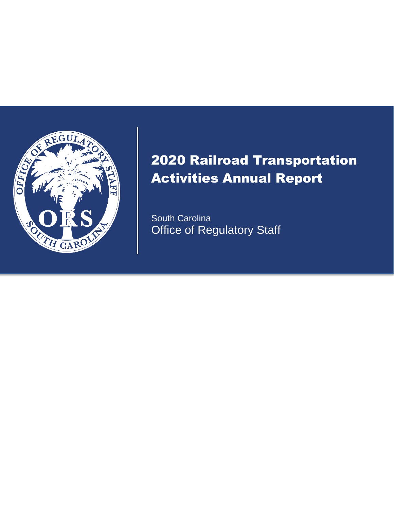

# 2020 Railroad Transportation Activities Annual Report

South Carolina Office of Regulatory Staff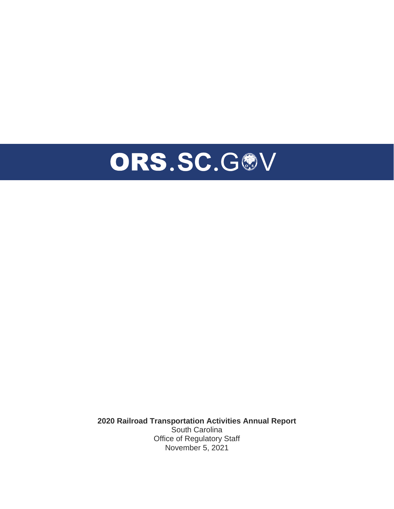

**2020 Railroad Transportation Activities Annual Report** South Carolina Office of Regulatory Staff November 5, 2021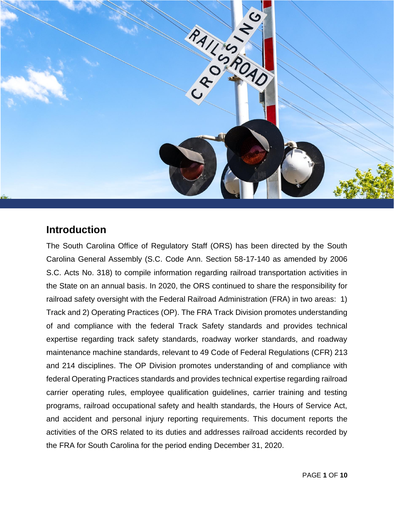

### **Introduction**

The South Carolina Office of Regulatory Staff (ORS) has been directed by the South Carolina General Assembly (S.C. Code Ann. Section 58-17-140 as amended by 2006 S.C. Acts No. 318) to compile information regarding railroad transportation activities in the State on an annual basis. In 2020, the ORS continued to share the responsibility for railroad safety oversight with the Federal Railroad Administration (FRA) in two areas: 1) Track and 2) Operating Practices (OP). The FRA Track Division promotes understanding of and compliance with the federal Track Safety standards and provides technical expertise regarding track safety standards, roadway worker standards, and roadway maintenance machine standards, relevant to 49 Code of Federal Regulations (CFR) 213 and 214 disciplines. The OP Division promotes understanding of and compliance with federal Operating Practices standards and provides technical expertise regarding railroad carrier operating rules, employee qualification guidelines, carrier training and testing programs, railroad occupational safety and health standards, the Hours of Service Act, and accident and personal injury reporting requirements. This document reports the activities of the ORS related to its duties and addresses railroad accidents recorded by the FRA for South Carolina for the period ending December 31, 2020.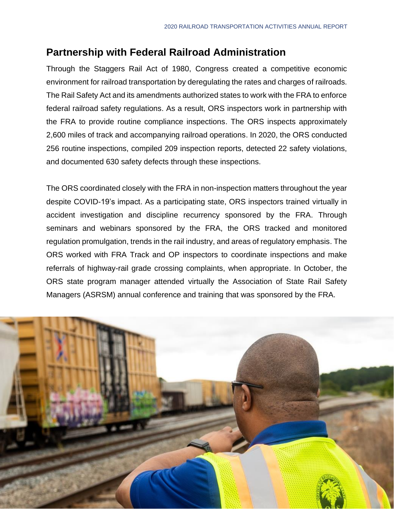### **Partnership with Federal Railroad Administration**

Through the Staggers Rail Act of 1980, Congress created a competitive economic environment for railroad transportation by deregulating the rates and charges of railroads. The Rail Safety Act and its amendments authorized states to work with the FRA to enforce federal railroad safety regulations. As a result, ORS inspectors work in partnership with the FRA to provide routine compliance inspections. The ORS inspects approximately 2,600 miles of track and accompanying railroad operations. In 2020, the ORS conducted 256 routine inspections, compiled 209 inspection reports, detected 22 safety violations, and documented 630 safety defects through these inspections.

The ORS coordinated closely with the FRA in non-inspection matters throughout the year despite COVID-19's impact. As a participating state, ORS inspectors trained virtually in accident investigation and discipline recurrency sponsored by the FRA. Through seminars and webinars sponsored by the FRA, the ORS tracked and monitored regulation promulgation, trends in the rail industry, and areas of regulatory emphasis. The ORS worked with FRA Track and OP inspectors to coordinate inspections and make referrals of highway-rail grade crossing complaints, when appropriate. In October, the ORS state program manager attended virtually the Association of State Rail Safety Managers (ASRSM) annual conference and training that was sponsored by the FRA.

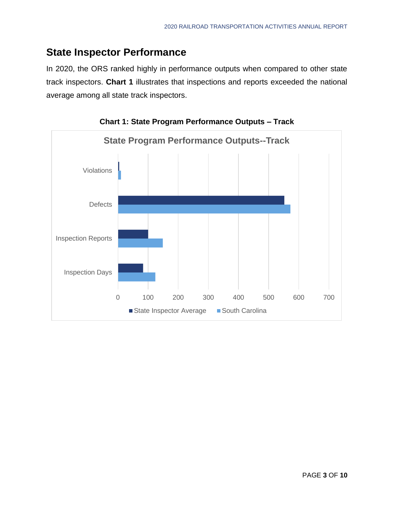### **State Inspector Performance**

In 2020, the ORS ranked highly in performance outputs when compared to other state track inspectors. **Chart 1** illustrates that inspections and reports exceeded the national average among all state track inspectors.



**Chart 1: State Program Performance Outputs – Track**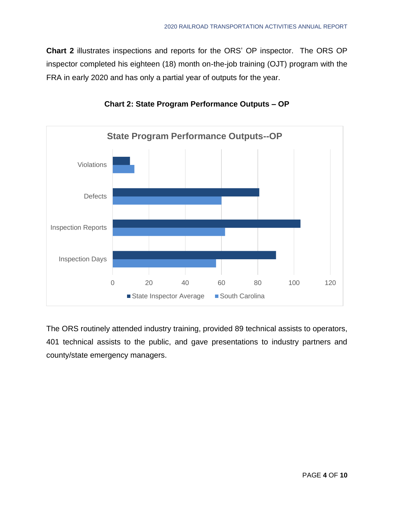**Chart 2** illustrates inspections and reports for the ORS' OP inspector. The ORS OP inspector completed his eighteen (18) month on-the-job training (OJT) program with the FRA in early 2020 and has only a partial year of outputs for the year.



#### **Chart 2: State Program Performance Outputs – OP**

The ORS routinely attended industry training, provided 89 technical assists to operators, 401 technical assists to the public, and gave presentations to industry partners and county/state emergency managers.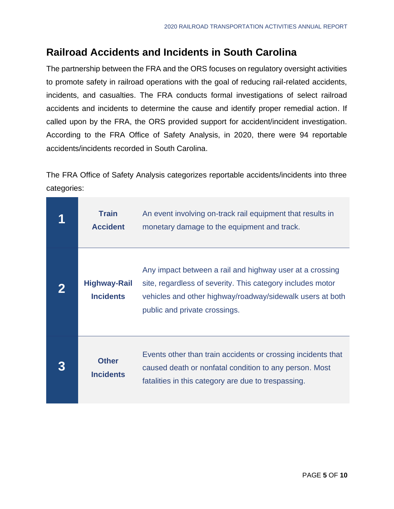## **Railroad Accidents and Incidents in South Carolina**

The partnership between the FRA and the ORS focuses on regulatory oversight activities to promote safety in railroad operations with the goal of reducing rail-related accidents, incidents, and casualties. The FRA conducts formal investigations of select railroad accidents and incidents to determine the cause and identify proper remedial action. If called upon by the FRA, the ORS provided support for accident/incident investigation. According to the FRA Office of Safety Analysis, in 2020, there were 94 reportable accidents/incidents recorded in South Carolina.

The FRA Office of Safety Analysis categorizes reportable accidents/incidents into three categories:

| <b>Train</b><br><b>Accident</b>         | An event involving on-track rail equipment that results in<br>monetary damage to the equipment and track.                                                                                                            |
|-----------------------------------------|----------------------------------------------------------------------------------------------------------------------------------------------------------------------------------------------------------------------|
| <b>Highway-Rail</b><br><b>Incidents</b> | Any impact between a rail and highway user at a crossing<br>site, regardless of severity. This category includes motor<br>vehicles and other highway/roadway/sidewalk users at both<br>public and private crossings. |
| <b>Other</b><br><b>Incidents</b>        | Events other than train accidents or crossing incidents that<br>caused death or nonfatal condition to any person. Most<br>fatalities in this category are due to trespassing.                                        |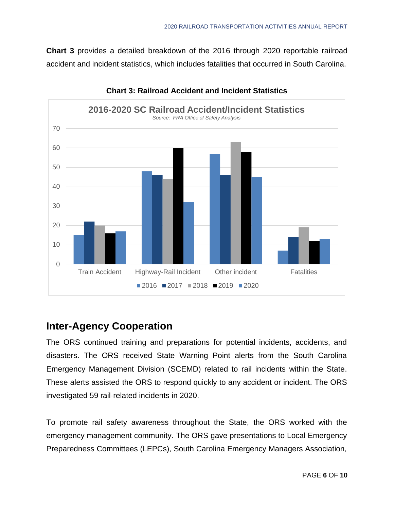**Chart 3** provides a detailed breakdown of the 2016 through 2020 reportable railroad accident and incident statistics, which includes fatalities that occurred in South Carolina.



**Chart 3: Railroad Accident and Incident Statistics**

### **Inter-Agency Cooperation**

The ORS continued training and preparations for potential incidents, accidents, and disasters. The ORS received State Warning Point alerts from the South Carolina Emergency Management Division (SCEMD) related to rail incidents within the State. These alerts assisted the ORS to respond quickly to any accident or incident. The ORS investigated 59 rail-related incidents in 2020.

To promote rail safety awareness throughout the State, the ORS worked with the emergency management community. The ORS gave presentations to Local Emergency Preparedness Committees (LEPCs), South Carolina Emergency Managers Association,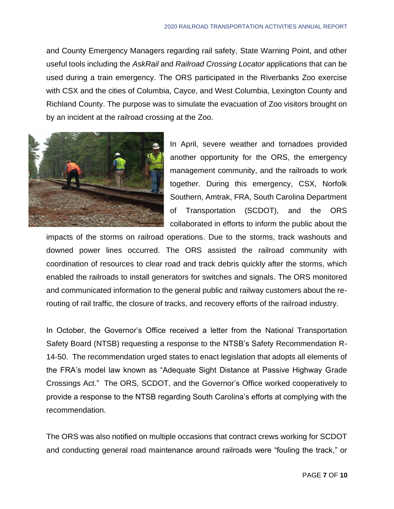and County Emergency Managers regarding rail safety, State Warning Point, and other useful tools including the *AskRail* and *Railroad Crossing Locator* applications that can be used during a train emergency. The ORS participated in the Riverbanks Zoo exercise with CSX and the cities of Columbia, Cayce, and West Columbia, Lexington County and Richland County. The purpose was to simulate the evacuation of Zoo visitors brought on by an incident at the railroad crossing at the Zoo.



In April, severe weather and tornadoes provided another opportunity for the ORS, the emergency management community, and the railroads to work together. During this emergency, CSX, Norfolk Southern, Amtrak, FRA, South Carolina Department of Transportation (SCDOT), and the ORS collaborated in efforts to inform the public about the

impacts of the storms on railroad operations. Due to the storms, track washouts and downed power lines occurred. The ORS assisted the railroad community with coordination of resources to clear road and track debris quickly after the storms, which enabled the railroads to install generators for switches and signals. The ORS monitored and communicated information to the general public and railway customers about the rerouting of rail traffic, the closure of tracks, and recovery efforts of the railroad industry.

In October, the Governor's Office received a letter from the National Transportation Safety Board (NTSB) requesting a response to the NTSB's Safety Recommendation R-14-50. The recommendation urged states to enact legislation that adopts all elements of the FRA's model law known as "Adequate Sight Distance at Passive Highway Grade Crossings Act." The ORS, SCDOT, and the Governor's Office worked cooperatively to provide a response to the NTSB regarding South Carolina's efforts at complying with the recommendation.

The ORS was also notified on multiple occasions that contract crews working for SCDOT and conducting general road maintenance around railroads were "fouling the track," or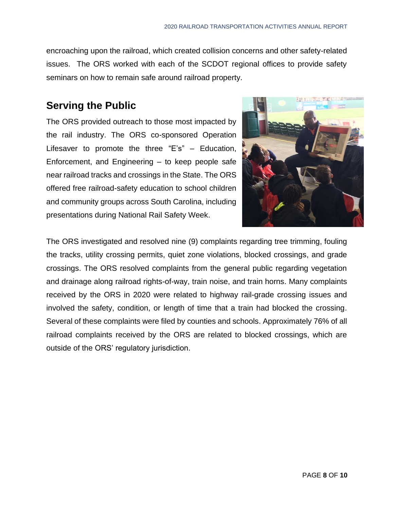encroaching upon the railroad, which created collision concerns and other safety-related issues. The ORS worked with each of the SCDOT regional offices to provide safety seminars on how to remain safe around railroad property.

### **Serving the Public**

The ORS provided outreach to those most impacted by the rail industry. The ORS co-sponsored Operation Lifesaver to promote the three "E's" – Education, Enforcement, and Engineering – to keep people safe near railroad tracks and crossings in the State. The ORS offered free railroad-safety education to school children and community groups across South Carolina, including presentations during National Rail Safety Week.



The ORS investigated and resolved nine (9) complaints regarding tree trimming, fouling the tracks, utility crossing permits, quiet zone violations, blocked crossings, and grade crossings. The ORS resolved complaints from the general public regarding vegetation and drainage along railroad rights-of-way, train noise, and train horns. Many complaints received by the ORS in 2020 were related to highway rail-grade crossing issues and involved the safety, condition, or length of time that a train had blocked the crossing. Several of these complaints were filed by counties and schools. Approximately 76% of all railroad complaints received by the ORS are related to blocked crossings, which are outside of the ORS' regulatory jurisdiction.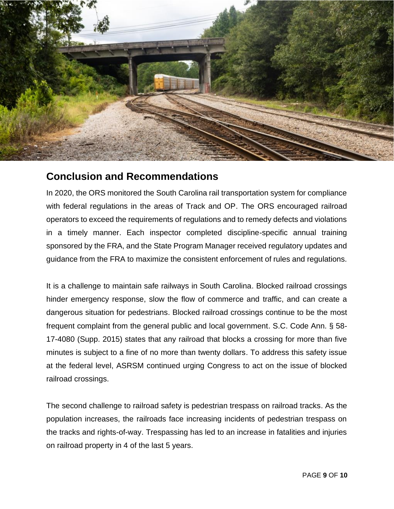

### **Conclusion and Recommendations**

In 2020, the ORS monitored the South Carolina rail transportation system for compliance with federal regulations in the areas of Track and OP. The ORS encouraged railroad operators to exceed the requirements of regulations and to remedy defects and violations in a timely manner. Each inspector completed discipline-specific annual training sponsored by the FRA, and the State Program Manager received regulatory updates and guidance from the FRA to maximize the consistent enforcement of rules and regulations.

It is a challenge to maintain safe railways in South Carolina. Blocked railroad crossings hinder emergency response, slow the flow of commerce and traffic, and can create a dangerous situation for pedestrians. Blocked railroad crossings continue to be the most frequent complaint from the general public and local government. S.C. Code Ann. § 58- 17-4080 (Supp. 2015) states that any railroad that blocks a crossing for more than five minutes is subject to a fine of no more than twenty dollars. To address this safety issue at the federal level, ASRSM continued urging Congress to act on the issue of blocked railroad crossings.

The second challenge to railroad safety is pedestrian trespass on railroad tracks. As the population increases, the railroads face increasing incidents of pedestrian trespass on the tracks and rights-of-way. Trespassing has led to an increase in fatalities and injuries on railroad property in 4 of the last 5 years.